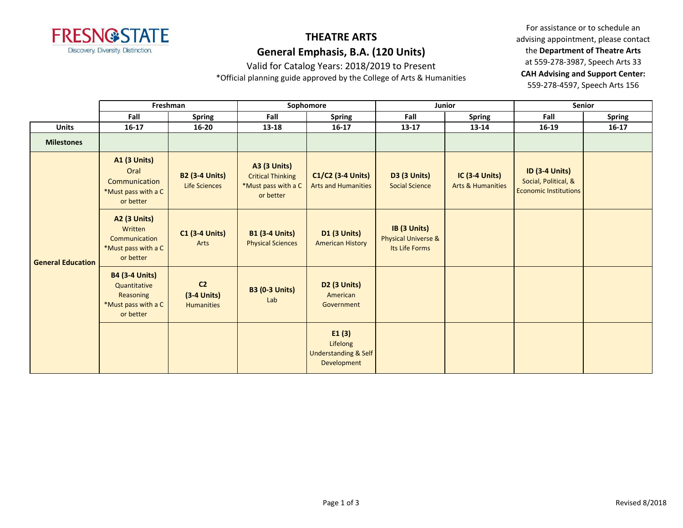

## **THEATRE ARTS General Emphasis, B.A. (120 Units)**

Valid for Catalog Years: 2018/2019 to Present

\*Official planning guide approved by the College of Arts & Humanities

For assistance or to schedule an advising appointment, please contact the **Department of Theatre Arts** at 559-278-3987, Speech Arts 33 **CAH Advising and Support Center:**  559-278-4597, Speech Arts 156

|                          | Freshman                                                                               |                                                      | Sophomore                                                                           |                                                                     | Junior                                                           |                                                       | Senior                                                                        |           |
|--------------------------|----------------------------------------------------------------------------------------|------------------------------------------------------|-------------------------------------------------------------------------------------|---------------------------------------------------------------------|------------------------------------------------------------------|-------------------------------------------------------|-------------------------------------------------------------------------------|-----------|
|                          | Fall                                                                                   | <b>Spring</b>                                        | Fall                                                                                | <b>Spring</b>                                                       | Fall                                                             | Spring                                                | Fall                                                                          | Spring    |
| <b>Units</b>             | $16 - 17$                                                                              | $16 - 20$                                            | 13-18                                                                               | $16 - 17$                                                           | $13 - 17$                                                        | 13-14                                                 | 16-19                                                                         | $16 - 17$ |
| <b>Milestones</b>        |                                                                                        |                                                      |                                                                                     |                                                                     |                                                                  |                                                       |                                                                               |           |
| <b>General Education</b> | <b>A1 (3 Units)</b><br>Oral<br>Communication<br>*Must pass with a C<br>or better       | <b>B2 (3-4 Units)</b><br><b>Life Sciences</b>        | <b>A3 (3 Units)</b><br><b>Critical Thinking</b><br>*Must pass with a C<br>or better | $C1/C2$ (3-4 Units)<br><b>Arts and Humanities</b>                   | <b>D3 (3 Units)</b><br><b>Social Science</b>                     | <b>IC (3-4 Units)</b><br><b>Arts &amp; Humanities</b> | <b>ID (3-4 Units)</b><br>Social, Political, &<br><b>Economic Institutions</b> |           |
|                          | <b>A2 (3 Units)</b><br>Written<br>Communication<br>*Must pass with a C<br>or better    | $C1$ (3-4 Units)<br>Arts                             | <b>B1 (3-4 Units)</b><br><b>Physical Sciences</b>                                   | <b>D1 (3 Units)</b><br><b>American History</b>                      | IB (3 Units)<br><b>Physical Universe &amp;</b><br>Its Life Forms |                                                       |                                                                               |           |
|                          | <b>B4 (3-4 Units)</b><br>Quantitative<br>Reasoning<br>*Must pass with a C<br>or better | C <sub>2</sub><br>$(3-4$ Units)<br><b>Humanities</b> | <b>B3 (0-3 Units)</b><br>Lab                                                        | D2 (3 Units)<br>American<br>Government                              |                                                                  |                                                       |                                                                               |           |
|                          |                                                                                        |                                                      |                                                                                     | E1(3)<br>Lifelong<br><b>Understanding &amp; Self</b><br>Development |                                                                  |                                                       |                                                                               |           |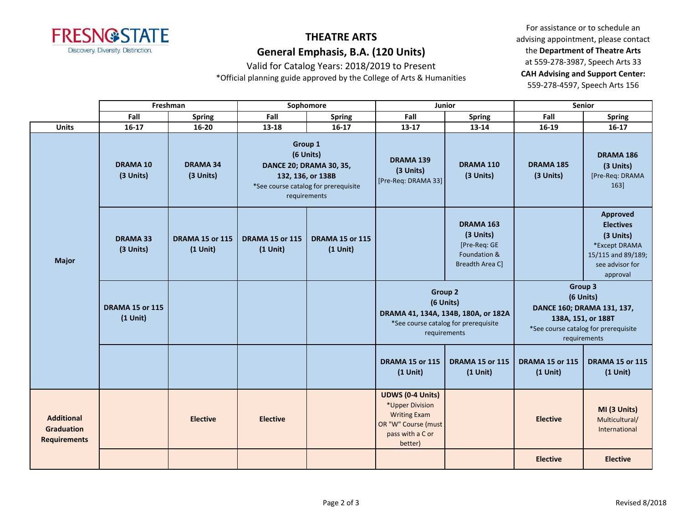

## **THEATRE ARTS General Emphasis, B.A. (120 Units)**

Valid for Catalog Years: 2018/2019 to Present

\*Official planning guide approved by the College of Arts & Humanities

For assistance or to schedule an advising appointment, please contact the **Department of Theatre Arts** at 559-278-3987, Speech Arts 33 **CAH Advising and Support Center:**  559-278-4597, Speech Arts 156

|                                                               | Freshman                     |                                      | Sophomore                                                                                                                           |                                      | Junior                                                                                                                  |                                                                                                                            | <b>Senior</b>                        |                                                                                                                                  |
|---------------------------------------------------------------|------------------------------|--------------------------------------|-------------------------------------------------------------------------------------------------------------------------------------|--------------------------------------|-------------------------------------------------------------------------------------------------------------------------|----------------------------------------------------------------------------------------------------------------------------|--------------------------------------|----------------------------------------------------------------------------------------------------------------------------------|
|                                                               | Fall                         | <b>Spring</b>                        | Fall                                                                                                                                | <b>Spring</b>                        | Fall                                                                                                                    | <b>Spring</b>                                                                                                              | Fall                                 | <b>Spring</b>                                                                                                                    |
| <b>Units</b>                                                  | $16-17$                      | $16 - 20$                            | 13-18                                                                                                                               | $16-17$                              | $13 - 17$                                                                                                               | 13-14                                                                                                                      | 16-19                                | $16 - 17$                                                                                                                        |
| <b>Major</b>                                                  | <b>DRAMA 10</b><br>(3 Units) | <b>DRAMA 34</b><br>(3 Units)         | Group 1<br>(6 Units)<br><b>DANCE 20; DRAMA 30, 35,</b><br>132, 136, or 138B<br>*See course catalog for prerequisite<br>requirements |                                      | <b>DRAMA 139</b><br>(3 Units)<br>[Pre-Req: DRAMA 33]                                                                    | DRAMA 110<br>(3 Units)                                                                                                     | <b>DRAMA 185</b><br>(3 Units)        | <b>DRAMA 186</b><br>(3 Units)<br>[Pre-Req: DRAMA<br>163]                                                                         |
|                                                               | <b>DRAMA 33</b><br>(3 Units) | <b>DRAMA 15 or 115</b><br>$(1$ Unit) | <b>DRAMA 15 or 115</b><br>$(1$ Unit)                                                                                                | <b>DRAMA 15 or 115</b><br>$(1$ Unit) |                                                                                                                         | DRAMA 163<br>(3 Units)<br>[Pre-Req: GE<br>Foundation &<br><b>Breadth Area Cl</b>                                           |                                      | <b>Approved</b><br><b>Electives</b><br>(3 Units)<br>*Except DRAMA<br>15/115 and 89/189;<br>see advisor for<br>approval           |
|                                                               | <b>DRAMA 15 or 115</b>       |                                      |                                                                                                                                     |                                      |                                                                                                                         | <b>Group 2</b><br>(6 Units)<br>DRAMA 41, 134A, 134B, 180A, or 182A<br>*See course catalog for prerequisite<br>requirements |                                      | Group 3<br>(6 Units)<br>DANCE 160; DRAMA 131, 137,<br>138A, 151, or 188T<br>*See course catalog for prerequisite<br>requirements |
|                                                               | $(1$ Unit)                   |                                      |                                                                                                                                     |                                      |                                                                                                                         |                                                                                                                            |                                      |                                                                                                                                  |
|                                                               |                              |                                      |                                                                                                                                     |                                      | <b>DRAMA 15 or 115</b><br>$(1$ Unit)                                                                                    | <b>DRAMA 15 or 115</b><br>$(1$ Unit)                                                                                       | <b>DRAMA 15 or 115</b><br>$(1$ Unit) | <b>DRAMA 15 or 115</b><br>$(1$ Unit)                                                                                             |
| <b>Additional</b><br><b>Graduation</b><br><b>Requirements</b> |                              | <b>Elective</b>                      | <b>Elective</b>                                                                                                                     |                                      | <b>UDWS (0-4 Units)</b><br>*Upper Division<br><b>Writing Exam</b><br>OR "W" Course (must<br>pass with a C or<br>better) |                                                                                                                            | <b>Elective</b>                      | MI (3 Units)<br>Multicultural/<br>International                                                                                  |